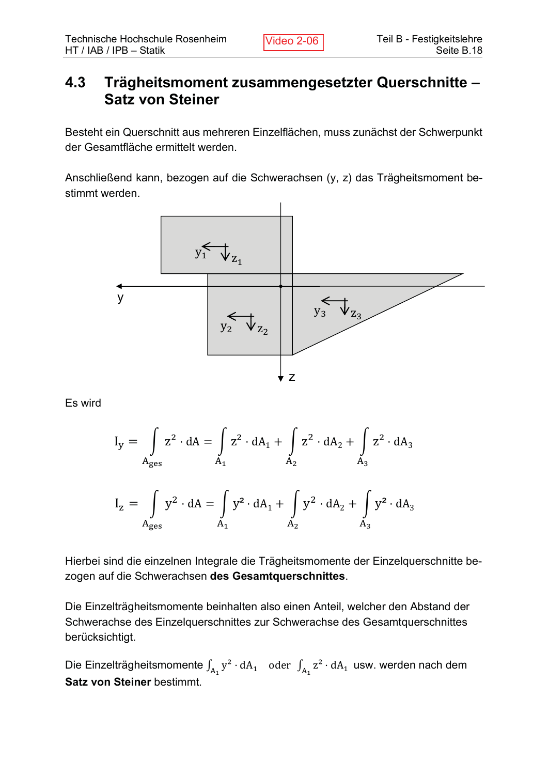## 4.3 Trägheitsmoment zusammengesetzter Querschnitte -**Satz von Steiner**

Besteht ein Querschnitt aus mehreren Einzelflächen, muss zunächst der Schwerpunkt der Gesamtfläche ermittelt werden.

Anschließend kann, bezogen auf die Schwerachsen (y, z) das Trägheitsmoment bestimmt werden.



Es wird

$$
I_y = \int_{A_{\text{ges}}} z^2 \cdot dA = \int_{A_1} z^2 \cdot dA_1 + \int_{A_2} z^2 \cdot dA_2 + \int_{A_3} z^2 \cdot dA_3
$$
  

$$
I_z = \int_{A_{\text{ges}}} y^2 \cdot dA = \int_{A_1} y^2 \cdot dA_1 + \int_{A_2} y^2 \cdot dA_2 + \int_{A_3} y^2 \cdot dA_3
$$

Hierbei sind die einzelnen Integrale die Trägheitsmomente der Einzelguerschnitte bezogen auf die Schwerachsen des Gesamtquerschnittes.

 $A_1$   $A_2$   $A_3$ 

Die Einzelträgheitsmomente beinhalten also einen Anteil, welcher den Abstand der Schwerachse des Einzelguerschnittes zur Schwerachse des Gesamtquerschnittes berücksichtigt.

Die Einzelträgheitsmomente  $\int_{A_1} y^2 \cdot dA_1$  oder  $\int_{A_1} z^2 \cdot dA_1$  usw. werden nach dem **Satz von Steiner bestimmt.**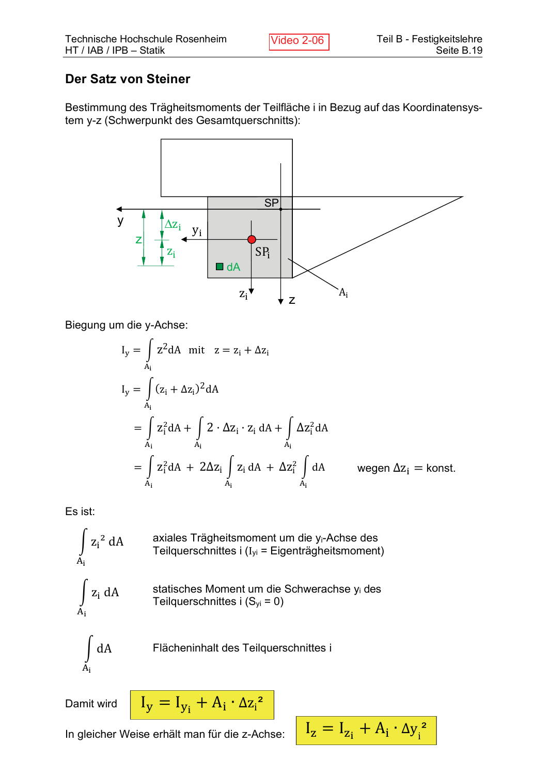### **Der Satz von Steiner**

Bestimmung des Trägheitsmoments der Teilfläche i in Bezug auf das Koordinatensystem y-z (Schwerpunkt des Gesamtquerschnitts):



Biegung um die y-Achse:

$$
I_y = \int_{A_i} z^2 dA \text{ mit } z = z_i + \Delta z_i
$$
  
\n
$$
I_y = \int_{A_i} (z_i + \Delta z_i)^2 dA
$$
  
\n
$$
= \int_{A_i} z_i^2 dA + \int_{A_i} 2 \cdot \Delta z_i \cdot z_i dA + \int_{A_i} \Delta z_i^2 dA
$$
  
\n
$$
= \int_{A_i} z_i^2 dA + 2\Delta z_i \int_{A_i} z_i dA + \Delta z_i^2 \int_{A_i} dA \text{ wegen } \Delta z_i = \text{konst.}
$$

Es ist:

$$
\int_{A_i} z_i^2 dA
$$
axiales Trägheitsmoment um die y<sub>i</sub>-Achse des Teilquerschnittes i (I<sub>yi</sub> = Eigenträgheitsmoment)  

$$
\int_{A_i} z_i dA
$$
statisches Moment um die Schweaches y<sub>i</sub> des Teilquerschnittes i (S<sub>yi</sub> = 0)  

$$
\int_{A_i} dA
$$
 Flächeninhalt des Teilquerschnittes i

Damit wird

$$
I_y = I_{y_i} + A_i \cdot \Delta z_i^2
$$

In gleicher Weise erhält man für die z-Achse:

$$
I_z = I_{z_i} + A_i \cdot \Delta y_i^2
$$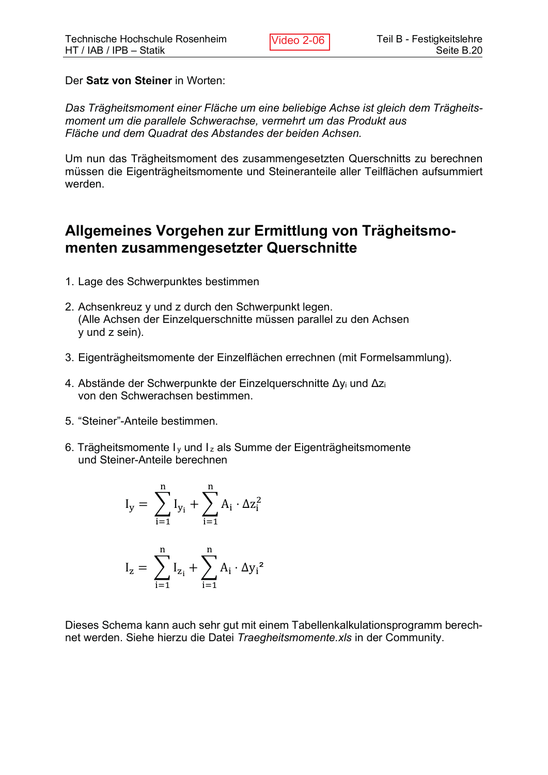Der Satz von Steiner in Worten:

Das Trägheitsmoment einer Fläche um eine beliebige Achse ist gleich dem Trägheitsmoment um die parallele Schwerachse, vermehrt um das Produkt aus Fläche und dem Quadrat des Abstandes der beiden Achsen.

Um nun das Trägheitsmoment des zusammengesetzten Querschnitts zu berechnen müssen die Eigenträgheitsmomente und Steineranteile aller Teilflächen aufsummiert werden.

## **Allgemeines Vorgehen zur Ermittlung von Trägheitsmo**menten zusammengesetzter Querschnitte

- 1. Lage des Schwerpunktes bestimmen
- 2. Achsenkreuz y und z durch den Schwerpunkt legen. (Alle Achsen der Einzelguerschnitte müssen parallel zu den Achsen  $y$  und  $z$  sein).
- 3. Eigenträgheitsmomente der Einzelflächen errechnen (mit Formelsammlung).
- 4. Abstände der Schwerpunkte der Einzelquerschnitte  $\Delta y_i$  und  $\Delta z_i$ von den Schwerachsen bestimmen.
- 5. "Steiner"-Anteile bestimmen.
- 6. Trägheitsmomente  $I_v$  und  $I_z$  als Summe der Eigenträgheitsmomente und Steiner-Anteile berechnen

$$
\begin{aligned} I_y &= \sum_{i=1}^n I_{y_i} + \sum_{i=1}^n A_i \cdot \Delta z_i^2 \\ I_z &= \sum_{i=1}^n I_{z_i} + \sum_{i=1}^n A_i \cdot \Delta {y_i}^2 \end{aligned}
$$

Dieses Schema kann auch sehr gut mit einem Tabellenkalkulationsprogramm berechnet werden. Siehe hierzu die Datei Traegheitsmomente.xls in der Community.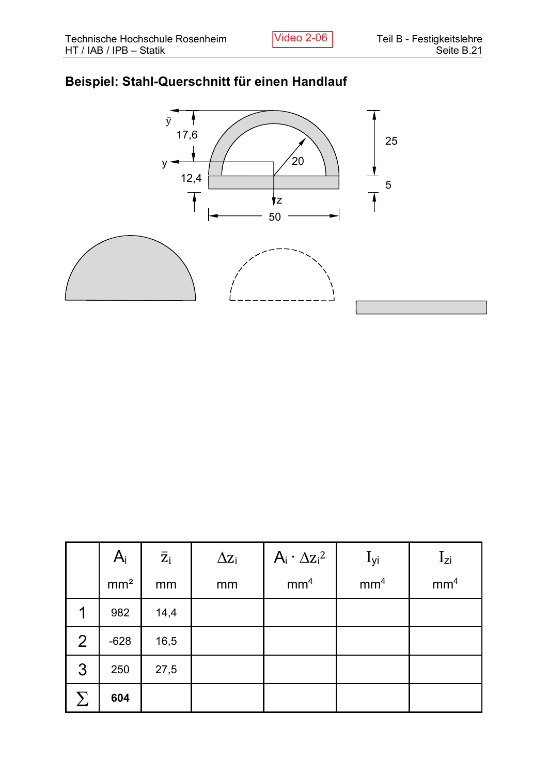# Beispiel: Stahl-Querschnitt für einen Handlauf



|              | $A_i$           | $\overline{z}_i$ | $\Delta z_i$ | $A_i \cdot \Delta z_i^2$ | $I_{yi}$        | $I_{zi}$        |
|--------------|-----------------|------------------|--------------|--------------------------|-----------------|-----------------|
|              | mm <sup>2</sup> | mm               | mm           | mm <sup>4</sup>          | mm <sup>4</sup> | mm <sup>4</sup> |
|              | 982             | 14,4             |              |                          |                 |                 |
| 2            | $-628$          | 16,5             |              |                          |                 |                 |
| $\mathbf{3}$ | 250             | 27,5             |              |                          |                 |                 |
|              | 604             |                  |              |                          |                 |                 |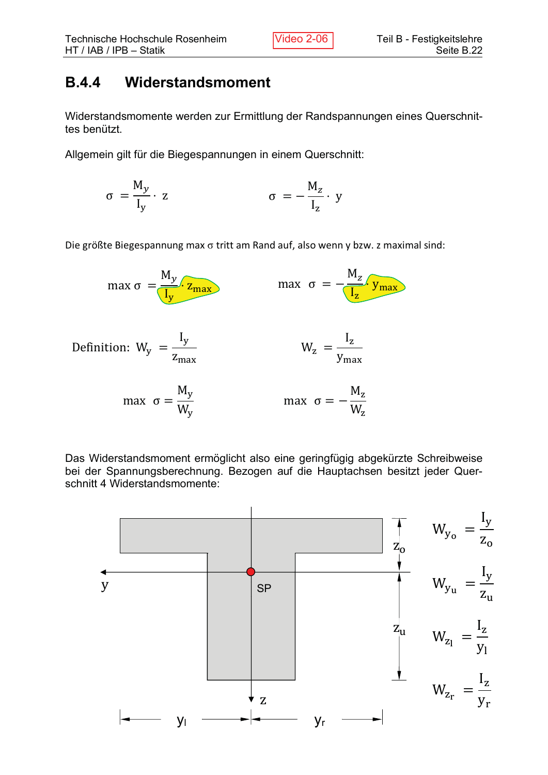# **B.4.4** Widerstandsmoment

Widerstandsmomente werden zur Ermittlung der Randspannungen eines Querschnittes benützt.

Allgemein gilt für die Biegespannungen in einem Querschnitt:

$$
\sigma = \frac{M_y}{I_y} \cdot z \qquad \qquad \sigma = -\frac{M_z}{I_z} \cdot y
$$

Die größte Biegespannung max  $\sigma$  tritt am Rand auf, also wenn y bzw. z maximal sind:



Das Widerstandsmoment ermöglicht also eine geringfügig abgekürzte Schreibweise bei der Spannungsberechnung. Bezogen auf die Hauptachsen besitzt jeder Querschnitt 4 Widerstandsmomente: